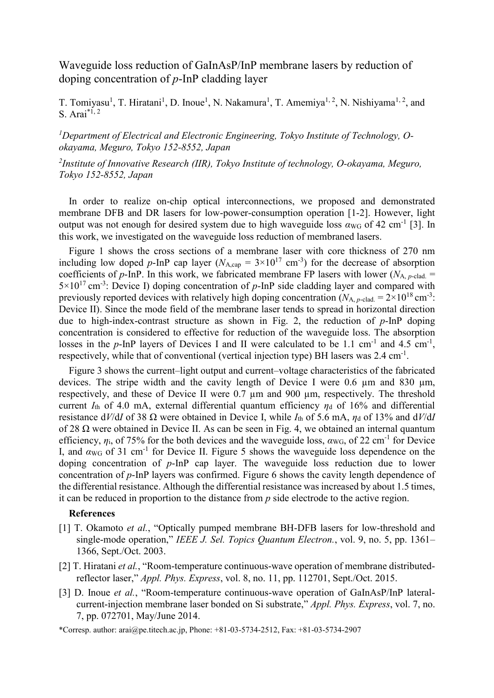## Waveguide loss reduction of GaInAsP/InP membrane lasers by reduction of doping concentration of *p*-InP cladding layer

T. Tomiyasu<sup>1</sup>, T. Hiratani<sup>1</sup>, D. Inoue<sup>1</sup>, N. Nakamura<sup>1</sup>, T. Amemiya<sup>1, 2</sup>, N. Nishiyama<sup>1, 2</sup>, and S. Arai\*1, 2

*<sup>1</sup>Department of Electrical and Electronic Engineering, Tokyo Institute of Technology, Ookayama, Meguro, Tokyo 152-8552, Japan*

*2 Institute of Innovative Research (IIR), Tokyo Institute of technology, O-okayama, Meguro, Tokyo 152-8552, Japan*

In order to realize on-chip optical interconnections, we proposed and demonstrated membrane DFB and DR lasers for low-power-consumption operation [1-2]. However, light output was not enough for desired system due to high waveguide loss  $\alpha_{\text{WG}}$  of 42 cm<sup>-1</sup> [3]. In this work, we investigated on the waveguide loss reduction of membraned lasers.

Figure 1 shows the cross sections of a membrane laser with core thickness of 270 nm including low doped p-InP cap layer ( $N_{A,\text{cap}} = 3 \times 10^{17} \text{ cm}^{-3}$ ) for the decrease of absorption coefficients of *p*-InP. In this work, we fabricated membrane FP lasers with lower ( $N_{A, p$ -clad. =  $5 \times 10^{17}$  cm<sup>-3</sup>: Device I) doping concentration of p-InP side cladding layer and compared with previously reported devices with relatively high doping concentration  $(N_{A, p-\text{clad.}} = 2 \times 10^{18} \text{ cm}^{-3}$ . Device II). Since the mode field of the membrane laser tends to spread in horizontal direction due to high-index-contrast structure as shown in Fig. 2, the reduction of *p*-InP doping concentration is considered to effective for reduction of the waveguide loss. The absorption losses in the  $p$ -InP layers of Devices I and II were calculated to be 1.1 cm<sup>-1</sup> and 4.5 cm<sup>-1</sup>, respectively, while that of conventional (vertical injection type) BH lasers was 2.4 cm<sup>-1</sup>.

Figure 3 shows the current–light output and current–voltage characteristics of the fabricated devices. The stripe width and the cavity length of Device I were  $0.6 \mu m$  and  $830 \mu m$ , respectively, and these of Device II were 0.7 µm and 900 µm, respectively. The threshold current  $I_{th}$  of 4.0 mA, external differential quantum efficiency  $\eta_d$  of 16% and differential resistance  $dV/dI$  of 38  $\Omega$  were obtained in Device I, while  $I_{th}$  of 5.6 mA,  $\eta_d$  of 13% and  $dV/dI$ of 28  $\Omega$  were obtained in Device II. As can be seen in Fig. 4, we obtained an internal quantum efficiency,  $\eta_i$ , of 75% for the both devices and the waveguide loss,  $\alpha_{\text{WG}}$ , of 22 cm<sup>-1</sup> for Device I, and  $\alpha_{\text{WG}}$  of 31 cm<sup>-1</sup> for Device II. Figure 5 shows the waveguide loss dependence on the doping concentration of *p*-InP cap layer. The waveguide loss reduction due to lower concentration of *p*-InP layers was confirmed. Figure 6 shows the cavity length dependence of the differential resistance. Although the differential resistance was increased by about 1.5 times, it can be reduced in proportion to the distance from *p* side electrode to the active region.

## **References**

- [1] T. Okamoto *et al.*, "Optically pumped membrane BH-DFB lasers for low-threshold and single-mode operation," *IEEE J. Sel. Topics Quantum Electron.*, vol. 9, no. 5, pp. 1361– 1366, Sept./Oct. 2003.
- [2] T. Hiratani *et al.*, "Room-temperature continuous-wave operation of membrane distributedreflector laser," *Appl. Phys. Express*, vol. 8, no. 11, pp. 112701, Sept./Oct. 2015.
- [3] D. Inoue *et al.*, "Room-temperature continuous-wave operation of GaInAsP/InP lateralcurrent-injection membrane laser bonded on Si substrate," *Appl. Phys. Express*, vol. 7, no. 7, pp. 072701, May/June 2014.

\*Corresp. author: arai@pe.titech.ac.jp, Phone: +81-03-5734-2512, Fax: +81-03-5734-2907